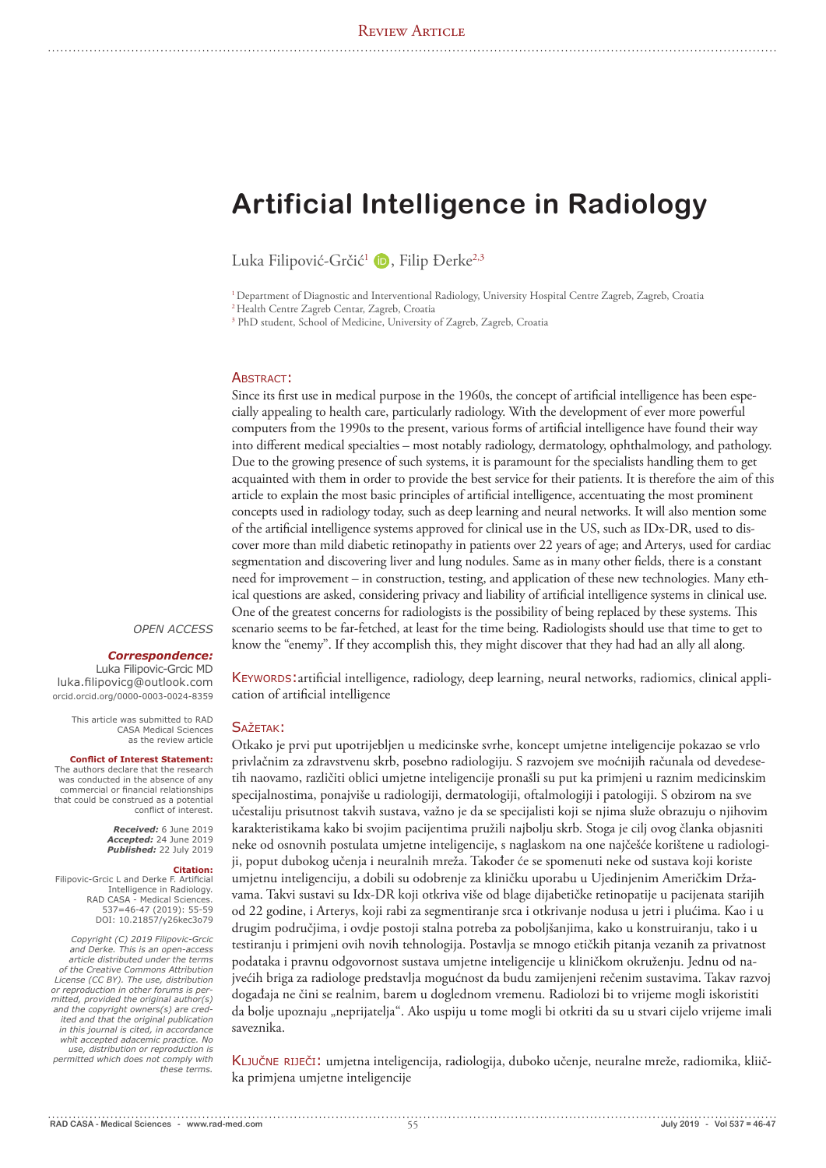# **Artificial Intelligence in Radiology**

Luka Filipović-Grčić<sup>1</sup> D, Filip Đerke<sup>2,3</sup>

<sup>1</sup> Department of Diagnostic and Interventional Radiology, University Hospital Centre Zagreb, Zagreb, Croatia

2 Health Centre Zagreb Centar, Zagreb, Croatia

<sup>3</sup> PhD student, School of Medicine, University of Zagreb, Zagreb, Croatia

#### ABSTRACT:

Since its first use in medical purpose in the 1960s, the concept of artificial intelligence has been especially appealing to health care, particularly radiology. With the development of ever more powerful computers from the 1990s to the present, various forms of artificial intelligence have found their way into different medical specialties – most notably radiology, dermatology, ophthalmology, and pathology. Due to the growing presence of such systems, it is paramount for the specialists handling them to get acquainted with them in order to provide the best service for their patients. It is therefore the aim of this article to explain the most basic principles of artificial intelligence, accentuating the most prominent concepts used in radiology today, such as deep learning and neural networks. It will also mention some of the artificial intelligence systems approved for clinical use in the US, such as IDx-DR, used to discover more than mild diabetic retinopathy in patients over 22 years of age; and Arterys, used for cardiac segmentation and discovering liver and lung nodules. Same as in many other fields, there is a constant need for improvement – in construction, testing, and application of these new technologies. Many ethical questions are asked, considering privacy and liability of artificial intelligence systems in clinical use. One of the greatest concerns for radiologists is the possibility of being replaced by these systems. This scenario seems to be far-fetched, at least for the time being. Radiologists should use that time to get to know the "enemy". If they accomplish this, they might discover that they had had an ally all along.

#### *OPEN ACCESS*

# *Correspondence:*

Luka Filipovic-Grcic MD luka.filipovicg@outlook.com orcid.orcid.org/0000-0003-0024-8359

> This article was submitted to RAD CASA Medical Sciences as the review article

#### **Conflict of Interest Statement:**

The authors declare that the research was conducted in the absence of any commercial or financial relationships that could be construed as a potential conflict of interest.

> *Received:* 6 June 2019 *Accepted:* 24 June 2019 *Published:* 22 July 2019

#### **Citation:**

Filipovic-Grcic L and Derke F. Artificial Intelligence in Radiology. RAD CASA - Medical Sciences. 537=46-47 (2019): 55-59 DOI: 10.21857/y26kec3o79

*Copyright (C) 2019 Filipovic-Grcic and Derke. This is an open-access article distributed under the terms of the Creative Commons Attribution License (CC BY). The use, distribution or reproduction in other forums is permitted, provided the original author(s) and the copyright owners(s) are credited and that the original publication in this journal is cited, in accordance whit accepted adacemic practice. No use, distribution or reproduction is permitted which does not comply with these terms.* 

Keywords:artificial intelligence, radiology, deep learning, neural networks, radiomics, clinical application of artificial intelligence

# SAŽETAK:

Otkako je prvi put upotrijebljen u medicinske svrhe, koncept umjetne inteligencije pokazao se vrlo privlačnim za zdravstvenu skrb, posebno radiologiju. S razvojem sve moćnijih računala od devedesetih naovamo, različiti oblici umjetne inteligencije pronašli su put ka primjeni u raznim medicinskim specijalnostima, ponajviše u radiologiji, dermatologiji, oftalmologiji i patologiji. S obzirom na sve učestaliju prisutnost takvih sustava, važno je da se specijalisti koji se njima služe obrazuju o njihovim karakteristikama kako bi svojim pacijentima pružili najbolju skrb. Stoga je cilj ovog članka objasniti neke od osnovnih postulata umjetne inteligencije, s naglaskom na one najčešće korištene u radiologiji, poput dubokog učenja i neuralnih mreža. Također će se spomenuti neke od sustava koji koriste umjetnu inteligenciju, a dobili su odobrenje za kliničku uporabu u Ujedinjenim Američkim Državama. Takvi sustavi su Idx-DR koji otkriva više od blage dijabetičke retinopatije u pacijenata starijih od 22 godine, i Arterys, koji rabi za segmentiranje srca i otkrivanje nodusa u jetri i plućima. Kao i u drugim područjima, i ovdje postoji stalna potreba za poboljšanjima, kako u konstruiranju, tako i u testiranju i primjeni ovih novih tehnologija. Postavlja se mnogo etičkih pitanja vezanih za privatnost podataka i pravnu odgovornost sustava umjetne inteligencije u kliničkom okruženju. Jednu od najvećih briga za radiologe predstavlja mogućnost da budu zamijenjeni rečenim sustavima. Takav razvoj događaja ne čini se realnim, barem u doglednom vremenu. Radiolozi bi to vrijeme mogli iskoristiti da bolje upoznaju "neprijatelja". Ako uspiju u tome mogli bi otkriti da su u stvari cijelo vrijeme imali saveznika.

Ključne riječi: umjetna inteligencija, radiologija, duboko učenje, neuralne mreže, radiomika, kliička primjena umjetne inteligencije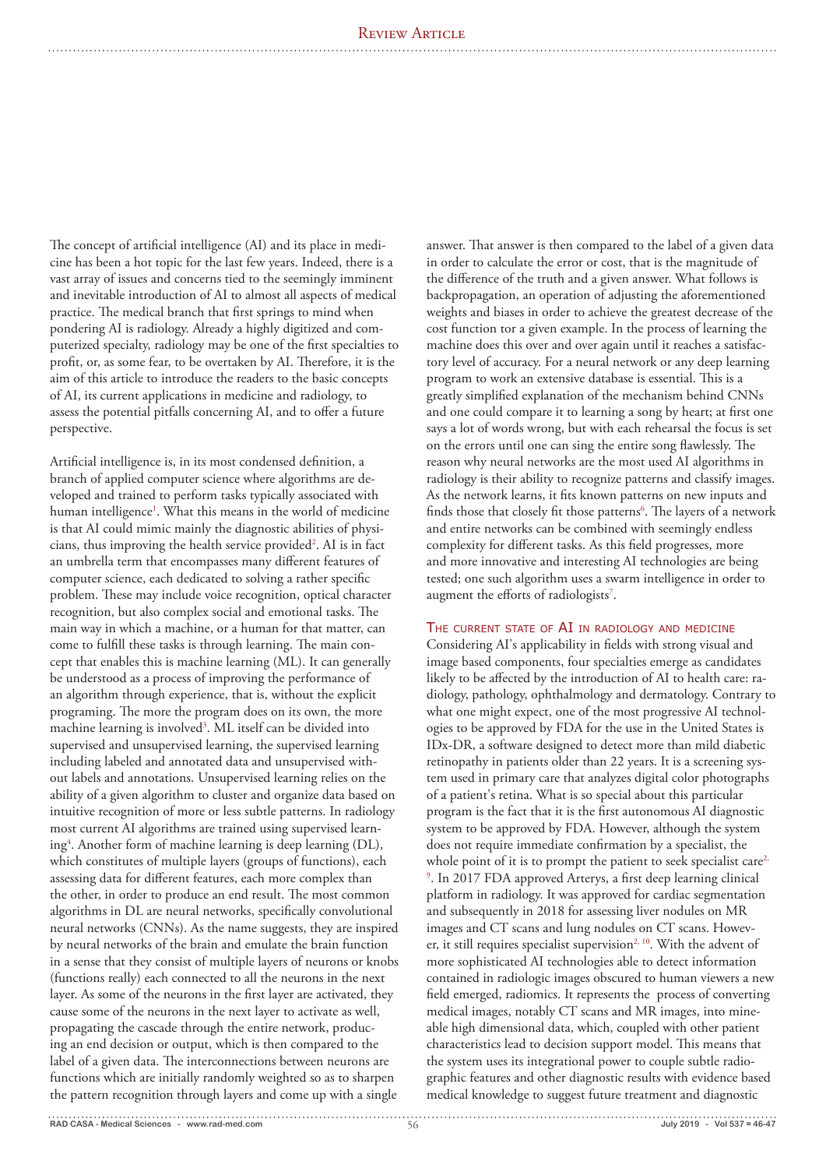The concept of artificial intelligence (AI) and its place in medicine has been a hot topic for the last few years. Indeed, there is a vast array of issues and concerns tied to the seemingly imminent and inevitable introduction of AI to almost all aspects of medical practice. The medical branch that first springs to mind when pondering AI is radiology. Already a highly digitized and computerized specialty, radiology may be one of the first specialties to profit, or, as some fear, to be overtaken by AI. Therefore, it is the aim of this article to introduce the readers to the basic concepts of AI, its current applications in medicine and radiology, to assess the potential pitfalls concerning AI, and to offer a future perspective.

Artificial intelligence is, in its most condensed definition, a branch of applied computer science where algorithms are developed and trained to perform tasks typically associated with human intelligence1 . What this means in the world of medicine is that AI could mimic mainly the diagnostic abilities of physicians, thus improving the health service provided<sup>2</sup>. AI is in fact an umbrella term that encompasses many different features of computer science, each dedicated to solving a rather specific problem. These may include voice recognition, optical character recognition, but also complex social and emotional tasks. The main way in which a machine, or a human for that matter, can come to fulfill these tasks is through learning. The main concept that enables this is machine learning (ML). It can generally be understood as a process of improving the performance of an algorithm through experience, that is, without the explicit programing. The more the program does on its own, the more machine learning is involved<sup>3</sup>. ML itself can be divided into supervised and unsupervised learning, the supervised learning including labeled and annotated data and unsupervised without labels and annotations. Unsupervised learning relies on the ability of a given algorithm to cluster and organize data based on intuitive recognition of more or less subtle patterns. In radiology most current AI algorithms are trained using supervised learning<sup>4</sup>. Another form of machine learning is deep learning (DL), which constitutes of multiple layers (groups of functions), each assessing data for different features, each more complex than the other, in order to produce an end result. The most common algorithms in DL are neural networks, specifically convolutional neural networks (CNNs). As the name suggests, they are inspired by neural networks of the brain and emulate the brain function in a sense that they consist of multiple layers of neurons or knobs (functions really) each connected to all the neurons in the next layer. As some of the neurons in the first layer are activated, they cause some of the neurons in the next layer to activate as well, propagating the cascade through the entire network, producing an end decision or output, which is then compared to the label of a given data. The interconnections between neurons are functions which are initially randomly weighted so as to sharpen the pattern recognition through layers and come up with a single

answer. That answer is then compared to the label of a given data in order to calculate the error or cost, that is the magnitude of the difference of the truth and a given answer. What follows is backpropagation, an operation of adjusting the aforementioned weights and biases in order to achieve the greatest decrease of the cost function tor a given example. In the process of learning the machine does this over and over again until it reaches a satisfactory level of accuracy. For a neural network or any deep learning program to work an extensive database is essential. This is a greatly simplified explanation of the mechanism behind CNNs and one could compare it to learning a song by heart; at first one says a lot of words wrong, but with each rehearsal the focus is set on the errors until one can sing the entire song flawlessly. The reason why neural networks are the most used AI algorithms in radiology is their ability to recognize patterns and classify images. As the network learns, it fits known patterns on new inputs and finds those that closely fit those patterns<sup>6</sup>. The layers of a network and entire networks can be combined with seemingly endless complexity for different tasks. As this field progresses, more and more innovative and interesting AI technologies are being tested; one such algorithm uses a swarm intelligence in order to augment the efforts of radiologists<sup>7</sup>.

# THE CURRENT STATE OF AI IN RADIOLOGY AND MEDICINE

Considering AI's applicability in fields with strong visual and image based components, four specialties emerge as candidates likely to be affected by the introduction of AI to health care: radiology, pathology, ophthalmology and dermatology. Contrary to what one might expect, one of the most progressive AI technologies to be approved by FDA for the use in the United States is IDx-DR, a software designed to detect more than mild diabetic retinopathy in patients older than 22 years. It is a screening system used in primary care that analyzes digital color photographs of a patient's retina. What is so special about this particular program is the fact that it is the first autonomous AI diagnostic system to be approved by FDA. However, although the system does not require immediate confirmation by a specialist, the whole point of it is to prompt the patient to seek specialist care<sup>2</sup>, 9 . In 2017 FDA approved Arterys, a first deep learning clinical platform in radiology. It was approved for cardiac segmentation and subsequently in 2018 for assessing liver nodules on MR images and CT scans and lung nodules on CT scans. However, it still requires specialist supervision<sup>2, 10</sup>. With the advent of more sophisticated AI technologies able to detect information contained in radiologic images obscured to human viewers a new field emerged, radiomics. It represents the process of converting medical images, notably CT scans and MR images, into mineable high dimensional data, which, coupled with other patient characteristics lead to decision support model. This means that the system uses its integrational power to couple subtle radiographic features and other diagnostic results with evidence based medical knowledge to suggest future treatment and diagnostic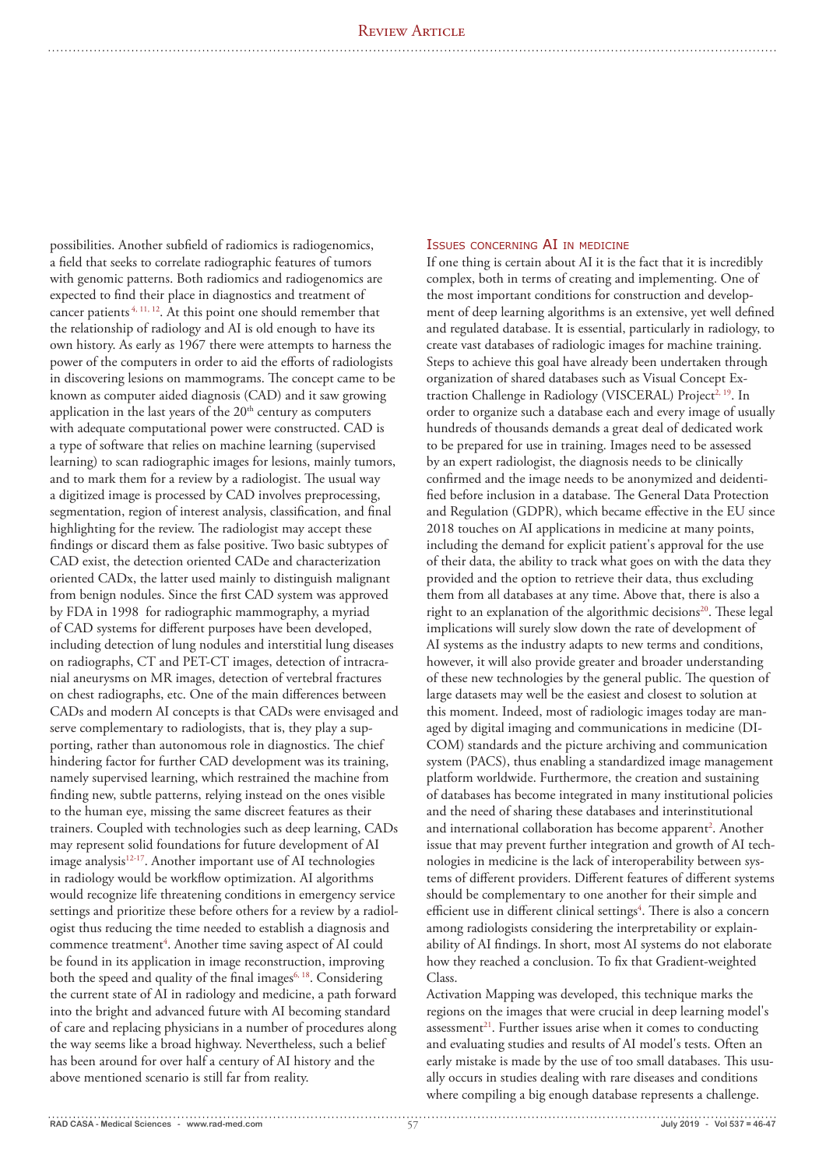possibilities. Another subfield of radiomics is radiogenomics, a field that seeks to correlate radiographic features of tumors with genomic patterns. Both radiomics and radiogenomics are expected to find their place in diagnostics and treatment of cancer patients 4, 11, 12. At this point one should remember that the relationship of radiology and AI is old enough to have its own history. As early as 1967 there were attempts to harness the power of the computers in order to aid the efforts of radiologists in discovering lesions on mammograms. The concept came to be known as computer aided diagnosis (CAD) and it saw growing application in the last years of the  $20<sup>th</sup>$  century as computers with adequate computational power were constructed. CAD is a type of software that relies on machine learning (supervised learning) to scan radiographic images for lesions, mainly tumors, and to mark them for a review by a radiologist. The usual way a digitized image is processed by CAD involves preprocessing, segmentation, region of interest analysis, classification, and final highlighting for the review. The radiologist may accept these findings or discard them as false positive. Two basic subtypes of CAD exist, the detection oriented CADe and characterization oriented CADx, the latter used mainly to distinguish malignant from benign nodules. Since the first CAD system was approved by FDA in 1998 for radiographic mammography, a myriad of CAD systems for different purposes have been developed, including detection of lung nodules and interstitial lung diseases on radiographs, CT and PET-CT images, detection of intracranial aneurysms on MR images, detection of vertebral fractures on chest radiographs, etc. One of the main differences between CADs and modern AI concepts is that CADs were envisaged and serve complementary to radiologists, that is, they play a supporting, rather than autonomous role in diagnostics. The chief hindering factor for further CAD development was its training, namely supervised learning, which restrained the machine from finding new, subtle patterns, relying instead on the ones visible to the human eye, missing the same discreet features as their trainers. Coupled with technologies such as deep learning, CADs may represent solid foundations for future development of AI image analysis<sup>12-17</sup>. Another important use of AI technologies in radiology would be workflow optimization. AI algorithms would recognize life threatening conditions in emergency service settings and prioritize these before others for a review by a radiologist thus reducing the time needed to establish a diagnosis and commence treatment<sup>4</sup>. Another time saving aspect of AI could be found in its application in image reconstruction, improving both the speed and quality of the final images<sup> $6, 18$ </sup>. Considering the current state of AI in radiology and medicine, a path forward into the bright and advanced future with AI becoming standard of care and replacing physicians in a number of procedures along the way seems like a broad highway. Nevertheless, such a belief has been around for over half a century of AI history and the above mentioned scenario is still far from reality.

## Issues concerning AI in medicine

If one thing is certain about AI it is the fact that it is incredibly complex, both in terms of creating and implementing. One of the most important conditions for construction and development of deep learning algorithms is an extensive, yet well defined and regulated database. It is essential, particularly in radiology, to create vast databases of radiologic images for machine training. Steps to achieve this goal have already been undertaken through organization of shared databases such as Visual Concept Extraction Challenge in Radiology (VISCERAL) Project<sup>2, 19</sup>. In order to organize such a database each and every image of usually hundreds of thousands demands a great deal of dedicated work to be prepared for use in training. Images need to be assessed by an expert radiologist, the diagnosis needs to be clinically confirmed and the image needs to be anonymized and deidentified before inclusion in a database. The General Data Protection and Regulation (GDPR), which became effective in the EU since 2018 touches on AI applications in medicine at many points, including the demand for explicit patient's approval for the use of their data, the ability to track what goes on with the data they provided and the option to retrieve their data, thus excluding them from all databases at any time. Above that, there is also a right to an explanation of the algorithmic decisions<sup>20</sup>. These legal implications will surely slow down the rate of development of AI systems as the industry adapts to new terms and conditions, however, it will also provide greater and broader understanding of these new technologies by the general public. The question of large datasets may well be the easiest and closest to solution at this moment. Indeed, most of radiologic images today are managed by digital imaging and communications in medicine (DI-COM) standards and the picture archiving and communication system (PACS), thus enabling a standardized image management platform worldwide. Furthermore, the creation and sustaining of databases has become integrated in many institutional policies and the need of sharing these databases and interinstitutional and international collaboration has become apparent<sup>2</sup>. Another issue that may prevent further integration and growth of AI technologies in medicine is the lack of interoperability between systems of different providers. Different features of different systems should be complementary to one another for their simple and efficient use in different clinical settings<sup>4</sup>. There is also a concern among radiologists considering the interpretability or explainability of AI findings. In short, most AI systems do not elaborate how they reached a conclusion. To fix that Gradient-weighted Class.

Activation Mapping was developed, this technique marks the regions on the images that were crucial in deep learning model's assessment<sup>21</sup>. Further issues arise when it comes to conducting and evaluating studies and results of AI model's tests. Often an early mistake is made by the use of too small databases. This usually occurs in studies dealing with rare diseases and conditions where compiling a big enough database represents a challenge.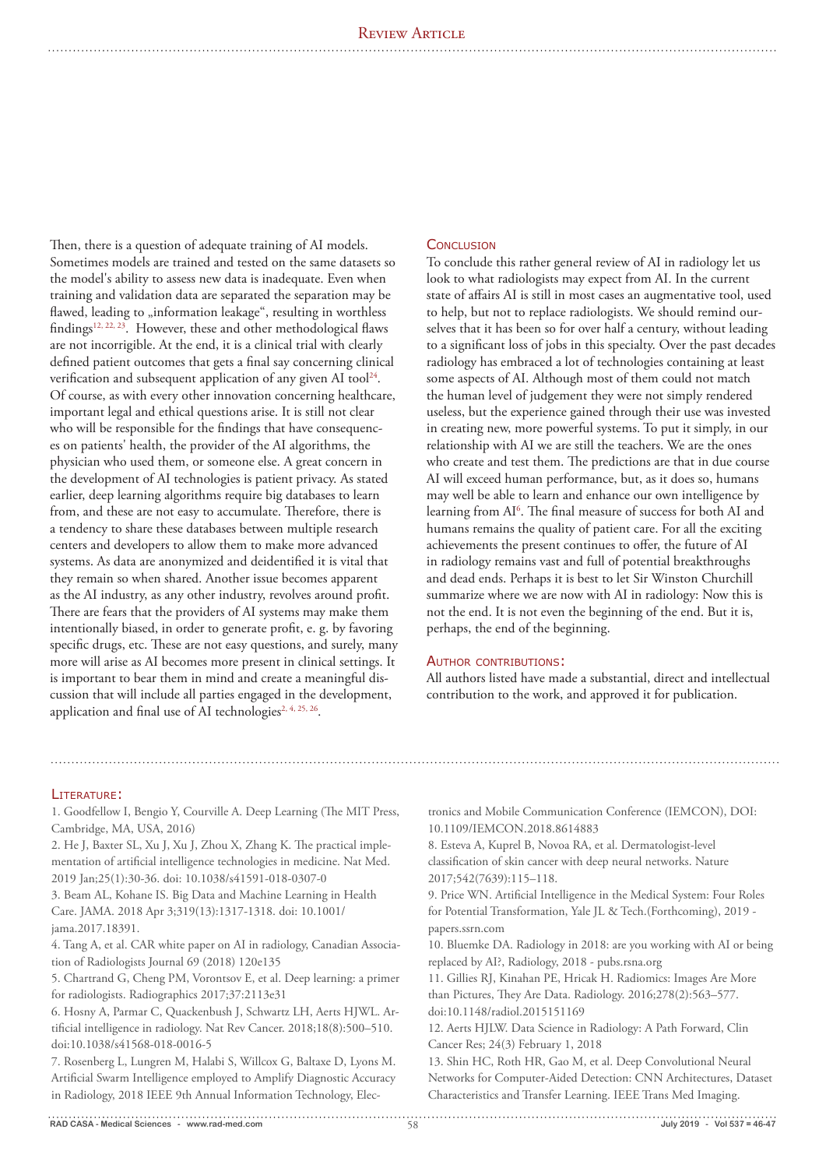Then, there is a question of adequate training of AI models. Sometimes models are trained and tested on the same datasets so the model's ability to assess new data is inadequate. Even when training and validation data are separated the separation may be flawed, leading to "information leakage", resulting in worthless findings12, 22, 23. However, these and other methodological flaws are not incorrigible. At the end, it is a clinical trial with clearly defined patient outcomes that gets a final say concerning clinical verification and subsequent application of any given AI tool<sup>24</sup>. Of course, as with every other innovation concerning healthcare, important legal and ethical questions arise. It is still not clear who will be responsible for the findings that have consequences on patients' health, the provider of the AI algorithms, the physician who used them, or someone else. A great concern in the development of AI technologies is patient privacy. As stated earlier, deep learning algorithms require big databases to learn from, and these are not easy to accumulate. Therefore, there is a tendency to share these databases between multiple research centers and developers to allow them to make more advanced systems. As data are anonymized and deidentified it is vital that they remain so when shared. Another issue becomes apparent as the AI industry, as any other industry, revolves around profit. There are fears that the providers of AI systems may make them intentionally biased, in order to generate profit, e. g. by favoring specific drugs, etc. These are not easy questions, and surely, many more will arise as AI becomes more present in clinical settings. It is important to bear them in mind and create a meaningful discussion that will include all parties engaged in the development, application and final use of AI technologies<sup>2, 4, 25, 26</sup>.

# **CONCLUSION**

To conclude this rather general review of AI in radiology let us look to what radiologists may expect from AI. In the current state of affairs AI is still in most cases an augmentative tool, used to help, but not to replace radiologists. We should remind ourselves that it has been so for over half a century, without leading to a significant loss of jobs in this specialty. Over the past decades radiology has embraced a lot of technologies containing at least some aspects of AI. Although most of them could not match the human level of judgement they were not simply rendered useless, but the experience gained through their use was invested in creating new, more powerful systems. To put it simply, in our relationship with AI we are still the teachers. We are the ones who create and test them. The predictions are that in due course AI will exceed human performance, but, as it does so, humans may well be able to learn and enhance our own intelligence by learning from AI<sup>6</sup>. The final measure of success for both AI and humans remains the quality of patient care. For all the exciting achievements the present continues to offer, the future of AI in radiology remains vast and full of potential breakthroughs and dead ends. Perhaps it is best to let Sir Winston Churchill summarize where we are now with AI in radiology: Now this is not the end. It is not even the beginning of the end. But it is, perhaps, the end of the beginning.

# AUTHOR CONTRIBUTIONS:

All authors listed have made a substantial, direct and intellectual contribution to the work, and approved it for publication.

## LITERATURE:

1. Goodfellow I, Bengio Y, Courville A. Deep Learning (The MIT Press, Cambridge, MA, USA, 2016)

2. He J, Baxter SL, Xu J, Xu J, Zhou X, Zhang K. The practical implementation of artificial intelligence technologies in medicine. Nat Med. 2019 Jan;25(1):30-36. doi: 10.1038/s41591-018-0307-0

3. Beam AL, Kohane IS. Big Data and Machine Learning in Health Care. JAMA. 2018 Apr 3;319(13):1317-1318. doi: 10.1001/ jama.2017.18391.

4. Tang A, et al. CAR white paper on AI in radiology, Canadian Association of Radiologists Journal 69 (2018) 120e135

5. Chartrand G, Cheng PM, Vorontsov E, et al. Deep learning: a primer for radiologists. Radiographics 2017;37:2113e31

6. Hosny A, Parmar C, Quackenbush J, Schwartz LH, Aerts HJWL. Artificial intelligence in radiology. Nat Rev Cancer. 2018;18(8):500–510. doi:10.1038/s41568-018-0016-5

7. Rosenberg L, Lungren M, Halabi S, Willcox G, Baltaxe D, Lyons M. Artificial Swarm Intelligence employed to Amplify Diagnostic Accuracy in Radiology, 2018 IEEE 9th Annual Information Technology, Electronics and Mobile Communication Conference (IEMCON), DOI: 10.1109/IEMCON.2018.8614883

8. Esteva A, Kuprel B, Novoa RA, et al. Dermatologist-level classification of skin cancer with deep neural networks. Nature 2017;542(7639):115–118.

9. Price WN. Artificial Intelligence in the Medical System: Four Roles for Potential Transformation, Yale JL & Tech.(Forthcoming), 2019 papers.ssrn.com

10. Bluemke DA. Radiology in 2018: are you working with AI or being replaced by AI?, Radiology, 2018 - pubs.rsna.org

11. Gillies RJ, Kinahan PE, Hricak H. Radiomics: Images Are More than Pictures, They Are Data. Radiology. 2016;278(2):563–577. doi:10.1148/radiol.2015151169

12. Aerts HJLW. Data Science in Radiology: A Path Forward, Clin Cancer Res; 24(3) February 1, 2018

13. Shin HC, Roth HR, Gao M, et al. Deep Convolutional Neural Networks for Computer-Aided Detection: CNN Architectures, Dataset Characteristics and Transfer Learning. IEEE Trans Med Imaging.